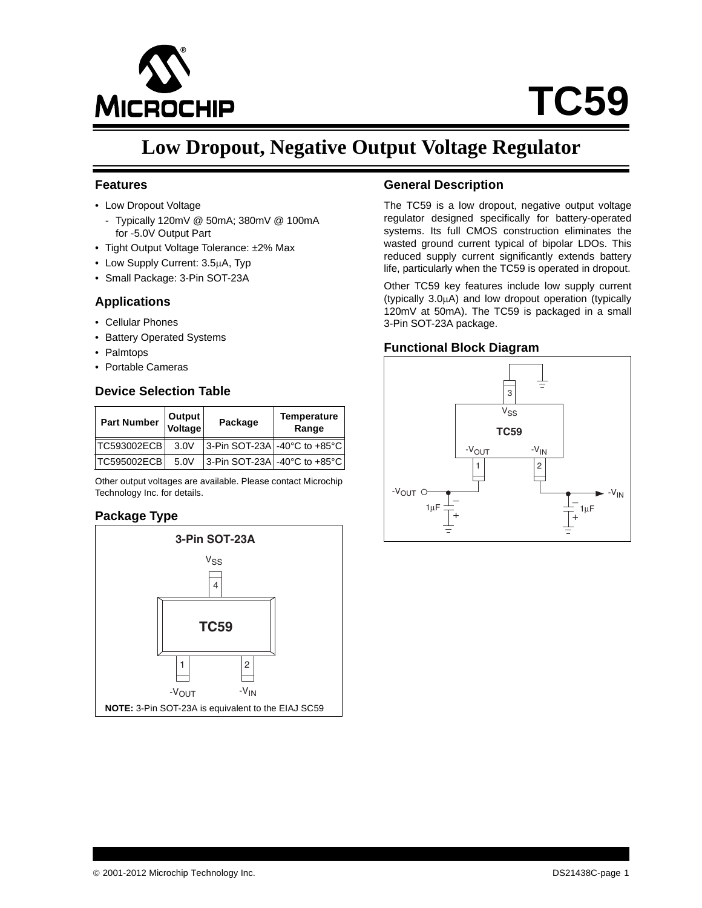

**TC59**

# **Low Dropout, Negative Output Voltage Regulator**

#### **Features**

- Low Dropout Voltage
	- Typically 120mV @ 50mA; 380mV @ 100mA for -5.0V Output Part
- Tight Output Voltage Tolerance: ±2% Max
- Low Supply Current: 3.5µA, Typ
- Small Package: 3-Pin SOT-23A

#### **Applications**

- Cellular Phones
- Battery Operated Systems
- Palmtops
- Portable Cameras

### **Device Selection Table**

| <b>Part Number</b> | Output<br>Voltage | Package | <b>Temperature</b><br>Range      |
|--------------------|-------------------|---------|----------------------------------|
| <b>TC593002ECB</b> | 3.0V              |         | 3-Pin SOT-23A -40°C to +85°C     |
| TC595002ECB        | 5.0V              |         | l 3-Pin SOT-23A l -40℃ to +85℃ l |

Other output voltages are available. Please contact Microchip Technology Inc. for details.

### **Package Type**



### **General Description**

The TC59 is a low dropout, negative output voltage regulator designed specifically for battery-operated systems. Its full CMOS construction eliminates the wasted ground current typical of bipolar LDOs. This reduced supply current significantly extends battery life, particularly when the TC59 is operated in dropout.

Other TC59 key features include low supply current (typically  $3.0\mu$ A) and low dropout operation (typically 120mV at 50mA). The TC59 is packaged in a small 3-Pin SOT-23A package.

#### **Functional Block Diagram**

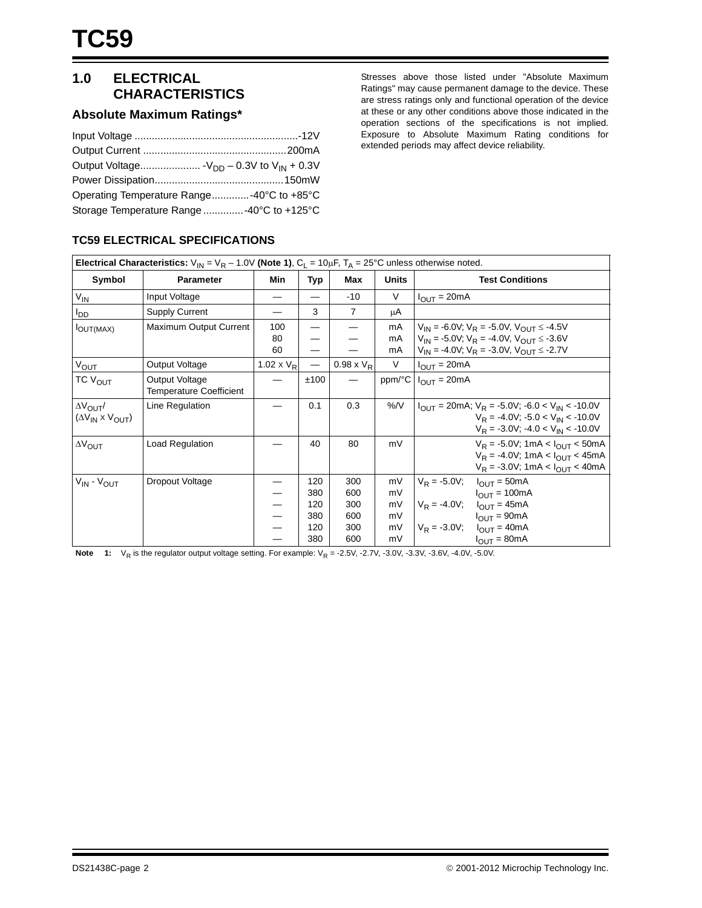### **1.0 ELECTRICAL CHARACTERISTICS**

### **Absolute Maximum Ratings\***

| Operating Temperature Range-40°C to +85°C |  |
|-------------------------------------------|--|
| Storage Temperature Range -40°C to +125°C |  |

Stresses above those listed under "Absolute Maximum Ratings" may cause permanent damage to the device. These are stress ratings only and functional operation of the device at these or any other conditions above those indicated in the operation sections of the specifications is not implied. Exposure to Absolute Maximum Rating conditions for extended periods may affect device reliability.

#### **Electrical Characteristics:**  $V_{IN} = V_R - 1.0V$  (Note 1),  $C_1 = 10 \mu F$ ,  $T_A = 25^{\circ}C$  unless otherwise noted. Symbol | Parameter | Min | Typ | Max | Units | Test Conditions  $V_{\text{IN}}$  | Input Voltage  $|$   $|$   $|$   $-$  10  $|$  V  $|$   $|$   $|_{\text{OUT}}$  = 20mA  $I_{DD}$  Supply Current  $\begin{vmatrix} - & 3 & 7 \\ 4 & -1 & 3 \end{vmatrix}$   $I_{\mu}A$ I<sub>OUT(MAX)</sub> Maximum Output Current | 100 80 60 — — — — — mA mA mA  $V_{IN}$  = -6.0V;  $V_R$  = -5.0V,  $V_{OUT}$   $\leq$  -4.5V  $V_{1N}$  = -5.0V;  $V_R$  = -4.0V,  $V_{OUT}$   $\leq$  -3.6V  $V_{\text{IN}} = -4.0 \text{V}; V_{\text{R}} = -3.0 \text{V}, V_{\text{OUT}} \le -2.7 \text{V}$ VOUT Output Voltage 1.02 X VR — 0.98 x VR V IOUT = 20mA TC V<sub>OUT</sub> Output Voltage Temperature Coefficient  $-$  | ±100 |  $-$  | ppm/°C | I<sub>OUT</sub> = 20mA  $\Delta V_{\text{OUT}}/$  $(\Delta V_{IN} \times V_{OUT})$ Line Regulation  $\begin{vmatrix} - & 0.1 & 0.3 & 0.4 \end{vmatrix}$  %/V  $\begin{vmatrix} 0_{\text{OUT}} & = 20 \text{mA} \\ 0_{\text{UT}} & = 20 \text{mA} \\ 0_{\text{IV}} & = 5.0 \text{ V} \\ 0_{\text{IV}} & = 5.0 \text{ V} \end{vmatrix}$  < -0.0V  $V_R = -4.0V$ ;  $-5.0 < V_{IN} < -10.0V$  $V_R = -3.0V$ ;  $-4.0 < V_R$  < -10.0V  $\Delta V_{\text{OUT}}$  Load Regulation  $\vert$   $\vert$  40  $\vert$  80  $\vert$  mV  $\vert$   $V_{\text{R}}$  = -5.0V; 1mA < I<sub>OUT</sub> < 50mA  $V_R = -4.0V$ ; 1mA <  $I_{OUT}$  < 45mA  $V_R = -3.0V$ ; 1mA <  $I_{OUT}$  < 40mA  $V_{IN}$  -  $V_{OUT}$  – Dropout Voltage — — — — — 120 380 120 380 120 380 300 600 300 600 300 600 mV mV mV mV mV mV  $V_R = -5.0V$ ;  $I_{OUT} = 50mA$  $I_{OUT} = 100mA$  $V_R = -4.0V$ ;  $I_{OUT} = 45mA$  $I_{OUT} = 90mA$  $V_R = -3.0V; \tI_{OUT} = 40mA$  $I_{OUT} = 80mA$

### **TC59 ELECTRICAL SPECIFICATIONS**

Note 1:  $V_R$  is the regulator output voltage setting. For example:  $V_R = -2.5V$ ,  $-2.7V$ ,  $-3.0V$ ,  $-3.3V$ ,  $-3.6V$ ,  $-4.0V$ ,  $-5.0V$ .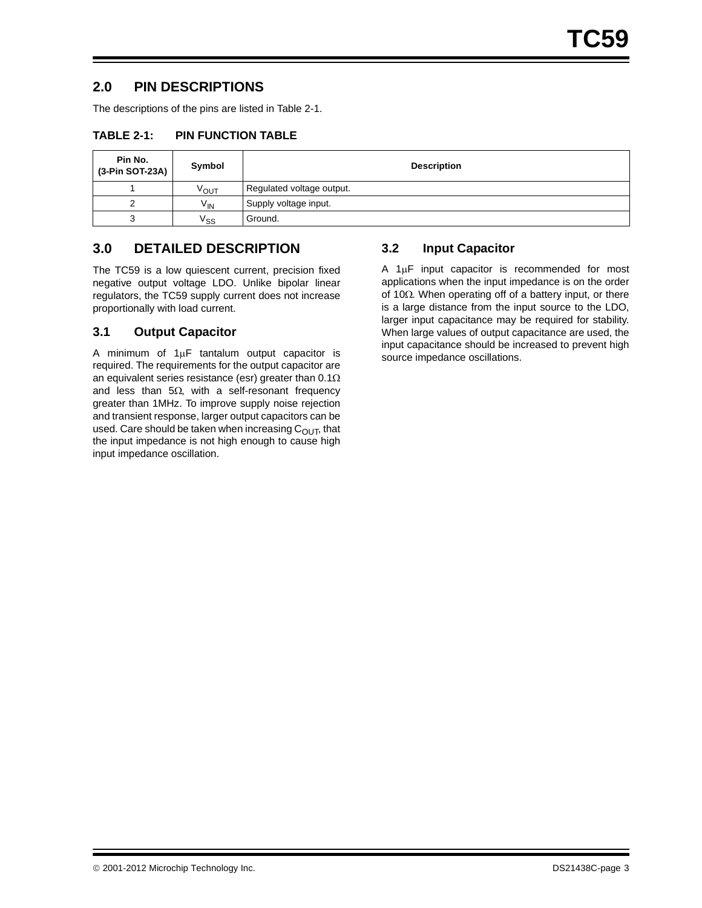### **2.0 PIN DESCRIPTIONS**

The descriptions of the pins are listed in Table 2-1.

### **TABLE 2-1: PIN FUNCTION TABLE**

| Pin No.<br>(3-Pin SOT-23A) | Symbol           | <b>Description</b>        |
|----------------------------|------------------|---------------------------|
|                            | V <sub>OUT</sub> | Regulated voltage output. |
|                            | V <sub>IN</sub>  | Supply voltage input.     |
| رب                         | Vss              | Ground.                   |

### **3.0 DETAILED DESCRIPTION**

The TC59 is a low quiescent current, precision fixed negative output voltage LDO. Unlike bipolar linear regulators, the TC59 supply current does not increase proportionally with load current.

### **3.1 Output Capacitor**

A minimum of  $1\mu$ F tantalum output capacitor is required. The requirements for the output capacitor are an equivalent series resistance (esr) greater than  $0.1\Omega$ and less than  $5\Omega$ , with a self-resonant frequency greater than 1MHz. To improve supply noise rejection and transient response, larger output capacitors can be used. Care should be taken when increasing  $C<sub>OUT</sub>$ , that the input impedance is not high enough to cause high input impedance oscillation.

### **3.2 Input Capacitor**

A  $1\mu$ F input capacitor is recommended for most applications when the input impedance is on the order of 10 $\Omega$ . When operating off of a battery input, or there is a large distance from the input source to the LDO, larger input capacitance may be required for stability. When large values of output capacitance are used, the input capacitance should be increased to prevent high source impedance oscillations.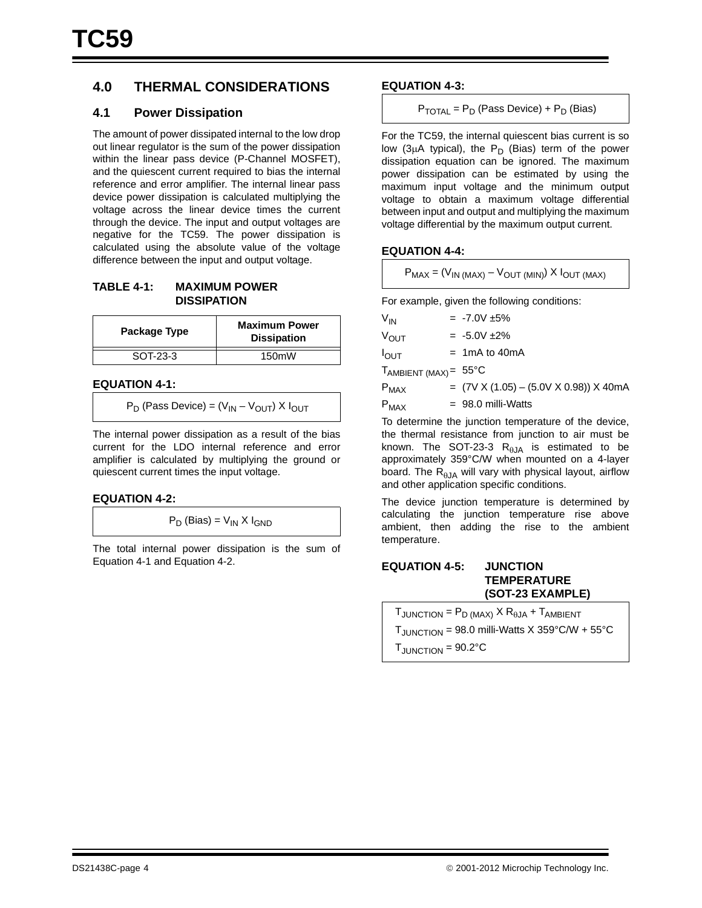### **4.0 THERMAL CONSIDERATIONS**

### **4.1 Power Dissipation**

The amount of power dissipated internal to the low drop out linear regulator is the sum of the power dissipation within the linear pass device (P-Channel MOSFET), and the quiescent current required to bias the internal reference and error amplifier. The internal linear pass device power dissipation is calculated multiplying the voltage across the linear device times the current through the device. The input and output voltages are negative for the TC59. The power dissipation is calculated using the absolute value of the voltage difference between the input and output voltage.

#### **TABLE 4-1: MAXIMUM POWER DISSIPATION**

| Package Type | <b>Maximum Power</b><br><b>Dissipation</b> |  |
|--------------|--------------------------------------------|--|
| SOT-23-3     | 150mW                                      |  |

### <span id="page-3-0"></span>**EQUATION 4-1:**

```
P_D (Pass Device) = (V_{IN} - V_{OUT}) X I_{OUT}
```
The internal power dissipation as a result of the bias current for the LDO internal reference and error amplifier is calculated by multiplying the ground or quiescent current times the input voltage.

### <span id="page-3-1"></span>**EQUATION 4-2:**

 $P_D$  (Bias) =  $V_{IN}$  X  $I_{GND}$ 

The total internal power dissipation is the sum of [Equation 4-1](#page-3-0) and [Equation 4-2.](#page-3-1)

#### **EQUATION 4-3:**

 $P_{\text{TOTAL}} = P_{\text{D}}$  (Pass Device) +  $P_{\text{D}}$  (Bias)

For the TC59, the internal quiescent bias current is so low (3 $\mu$ A typical), the P<sub>D</sub> (Bias) term of the power dissipation equation can be ignored. The maximum power dissipation can be estimated by using the maximum input voltage and the minimum output voltage to obtain a maximum voltage differential between input and output and multiplying the maximum voltage differential by the maximum output current.

#### **EQUATION 4-4:**

 $P_{MAX} = (V_{IN (MAX)} - V_{OUT (MIN)}) \times I_{OUT (MAX)}$ 

For example, given the following conditions:

| V <sub>IN</sub>                   | $= -7.0V + 5\%$           |
|-----------------------------------|---------------------------|
| V <sub>OUT</sub>                  | $= -5.0V + 2\%$           |
| $I_{\text{OUT}}$                  | $= 1 \text{mA}$ to 40 m A |
| $T_{AMBIENT (MAX)} = 55^{\circ}C$ |                           |

| $P_{MAX}$ | $=$ (7V X (1.05) – (5.0V X 0.98)) X 40mA |
|-----------|------------------------------------------|
| $P_{MAX}$ | $= 98.0$ milli-Watts                     |

To determine the junction temperature of the device, the thermal resistance from junction to air must be known. The SOT-23-3  $R<sub>0.1A</sub>$  is estimated to be approximately 359°C/W when mounted on a 4-layer board. The  $R_{\theta JA}$  will vary with physical layout, airflow and other application specific conditions.

The device junction temperature is determined by calculating the junction temperature rise above ambient, then adding the rise to the ambient temperature.

#### **EQUATION 4-5: JUNCTION TEMPERATURE (SOT-23 EXAMPLE)**

 $T_{\text{JUNCTION}} = P_{\text{D (MAX)}} \times R_{\text{theta}} + T_{\text{AMBIENT}}$  $T_{\text{JUNCTION}} = 98.0 \text{ milli-Watts X } 359^{\circ} \text{C/W} + 55^{\circ} \text{C}$  $T_{\text{JUNCTION}} = 90.2^{\circ}C$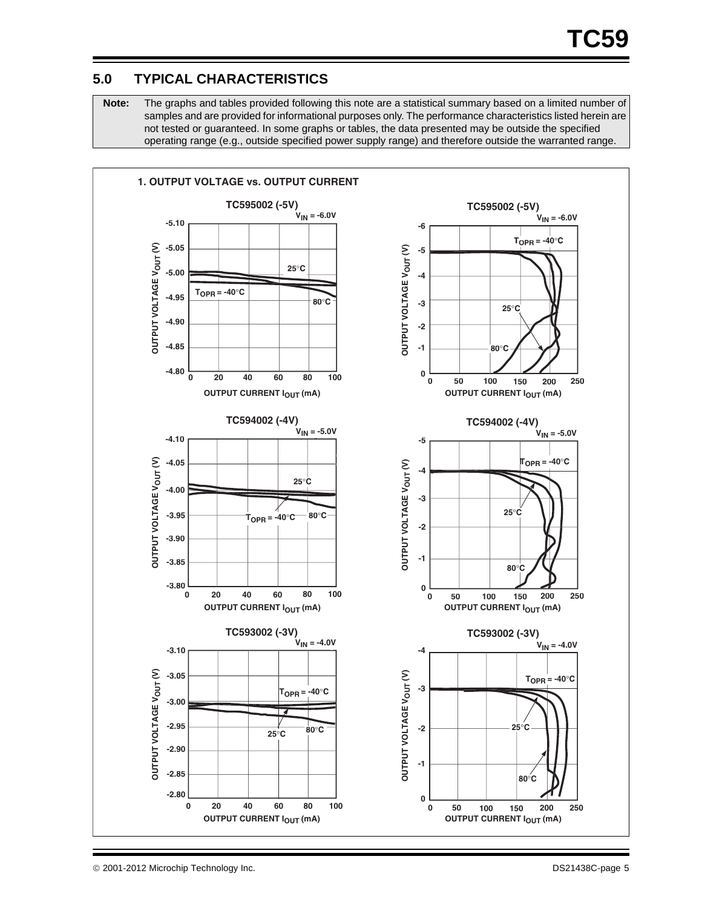### **5.0 TYPICAL CHARACTERISTICS**

**Note:** The graphs and tables provided following this note are a statistical summary based on a limited number of samples and are provided for informational purposes only. The performance characteristics listed herein are not tested or guaranteed. In some graphs or tables, the data presented may be outside the specified operating range (e.g., outside specified power supply range) and therefore outside the warranted range.

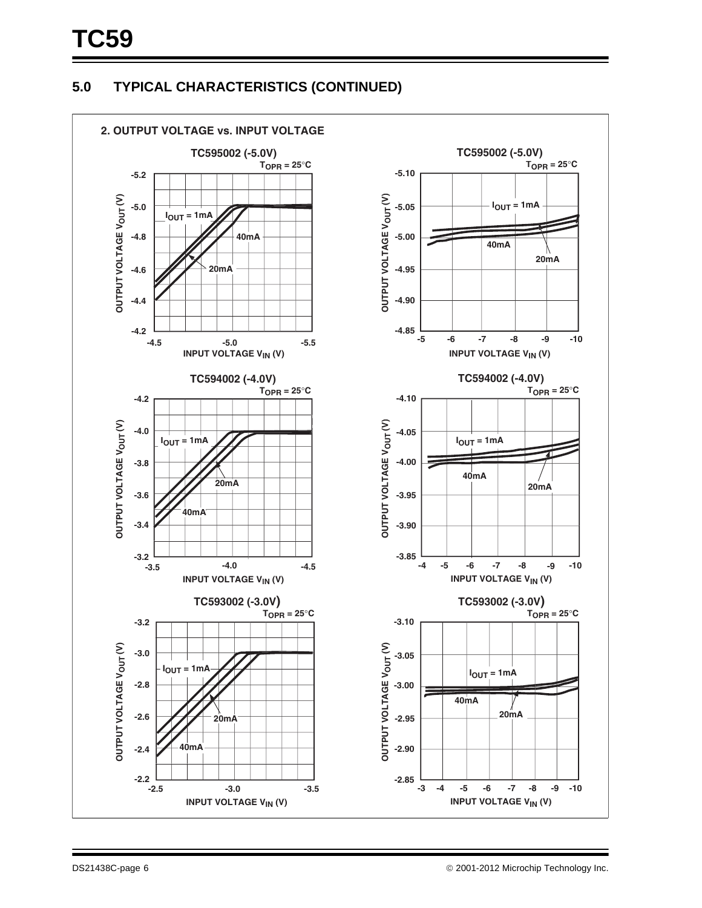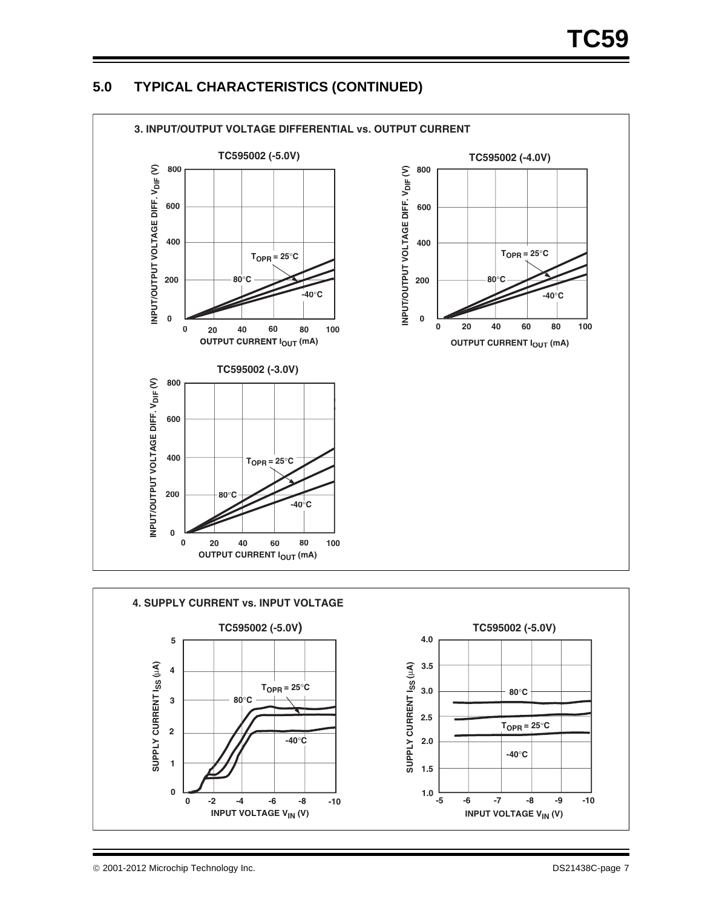



2001-2012 Microchip Technology Inc. DS21438C-page 7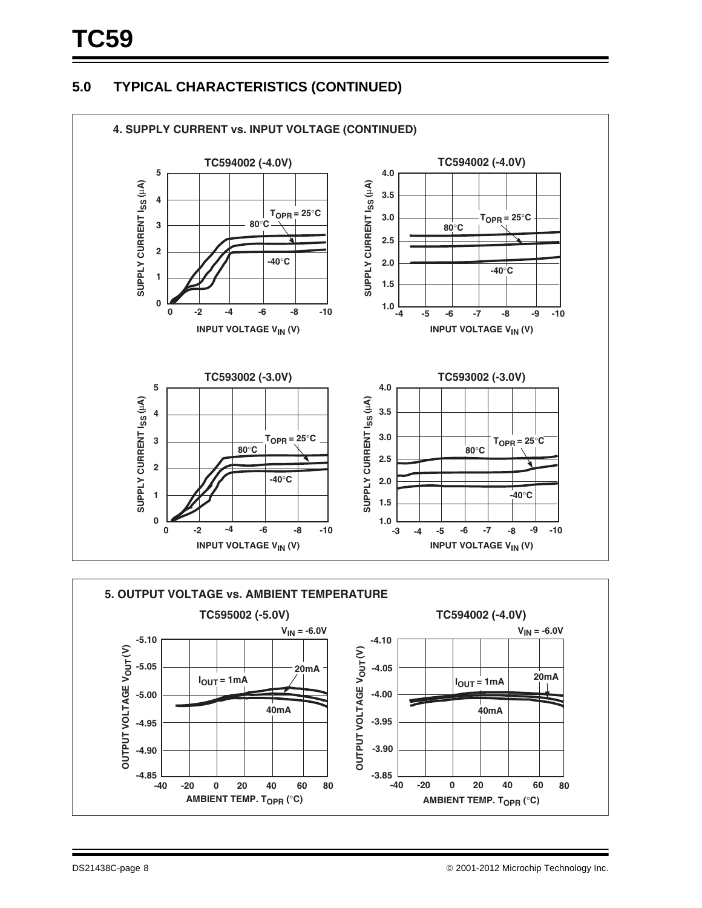

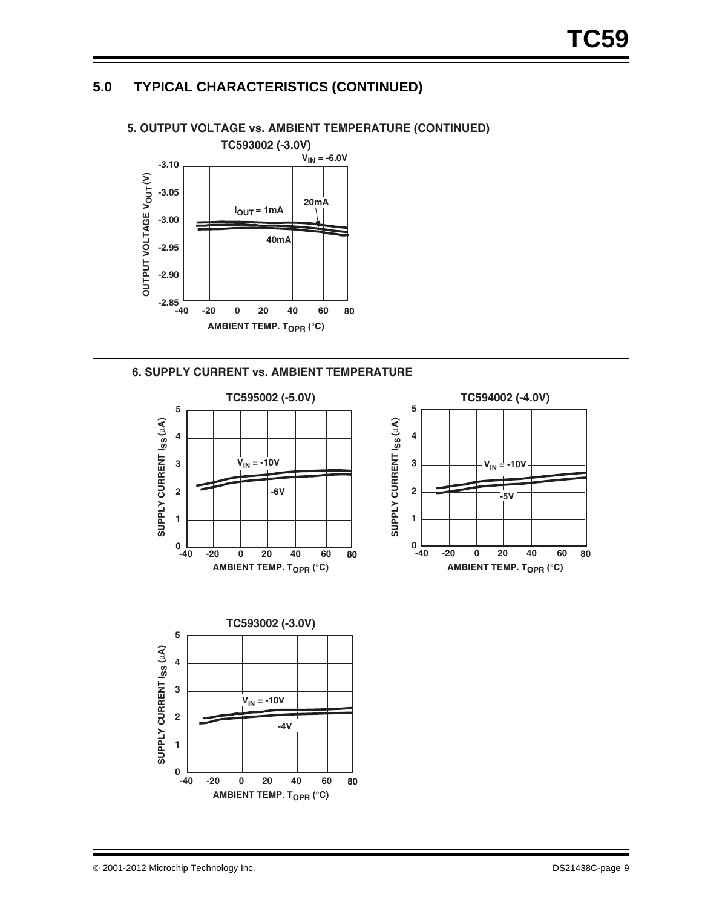

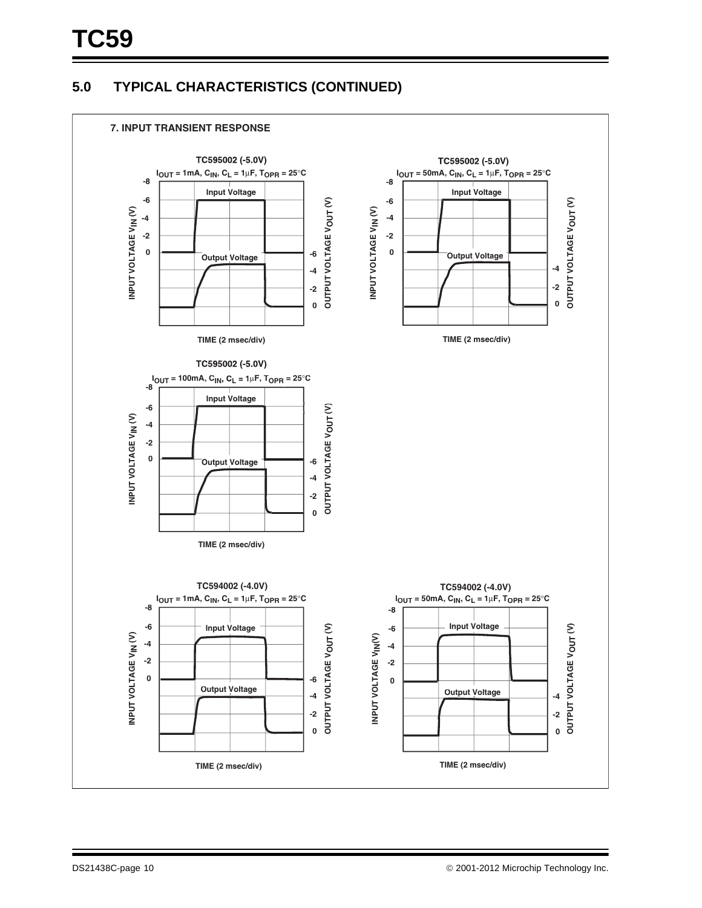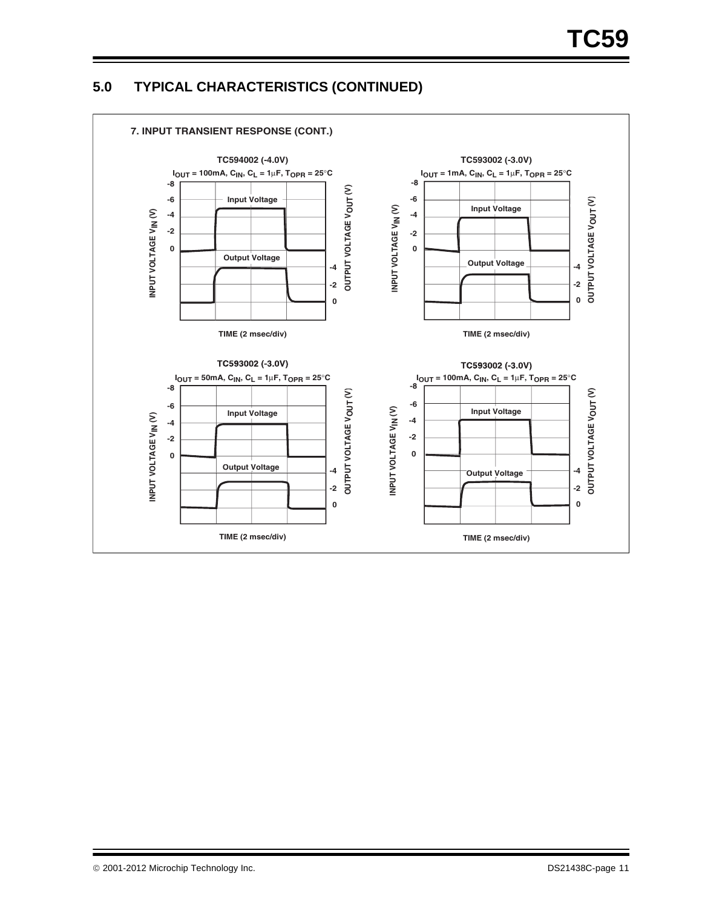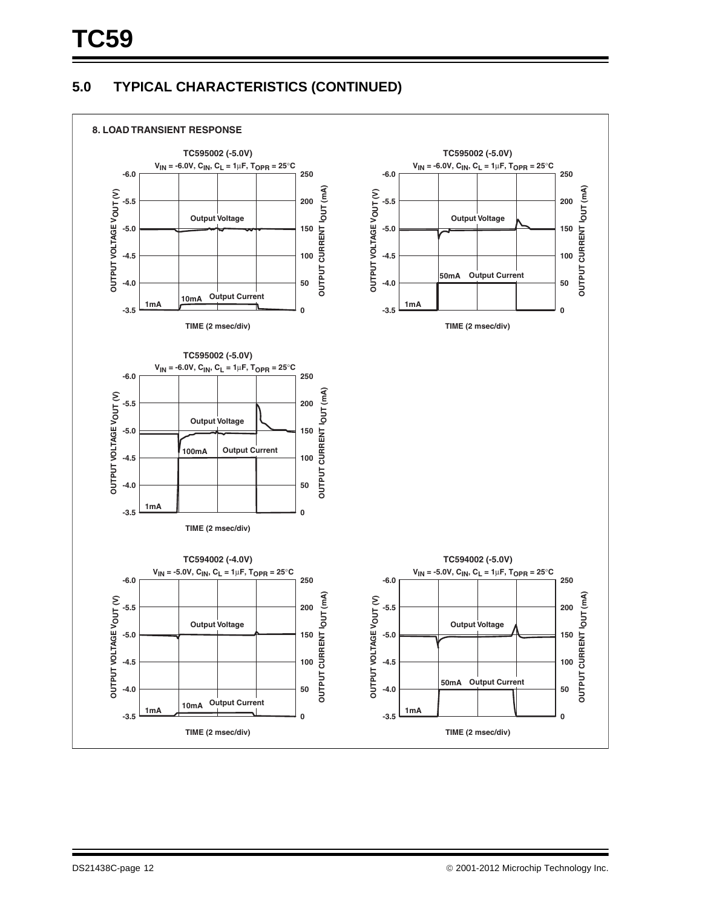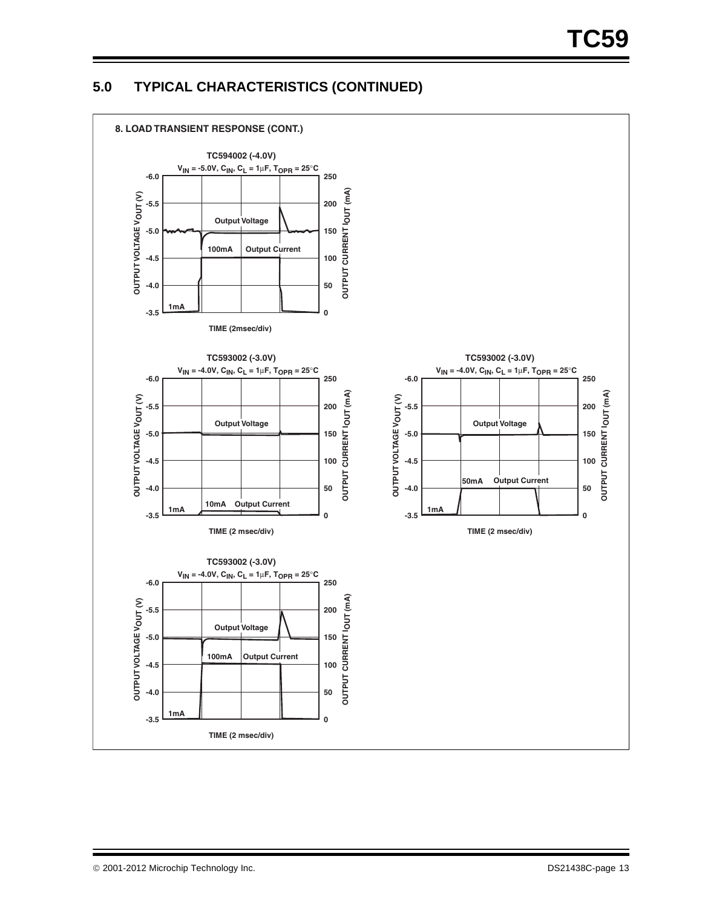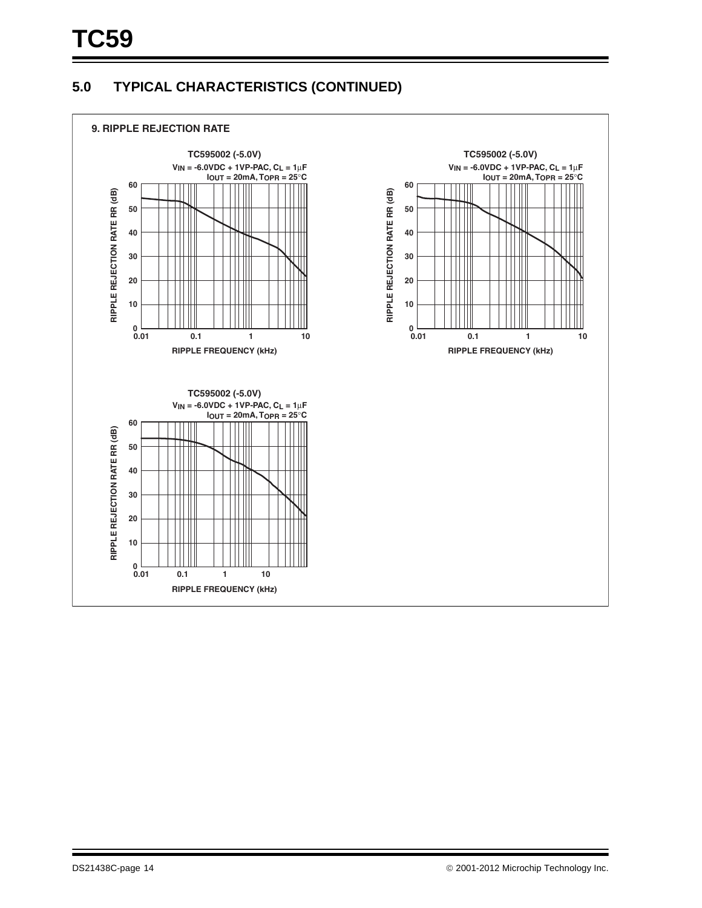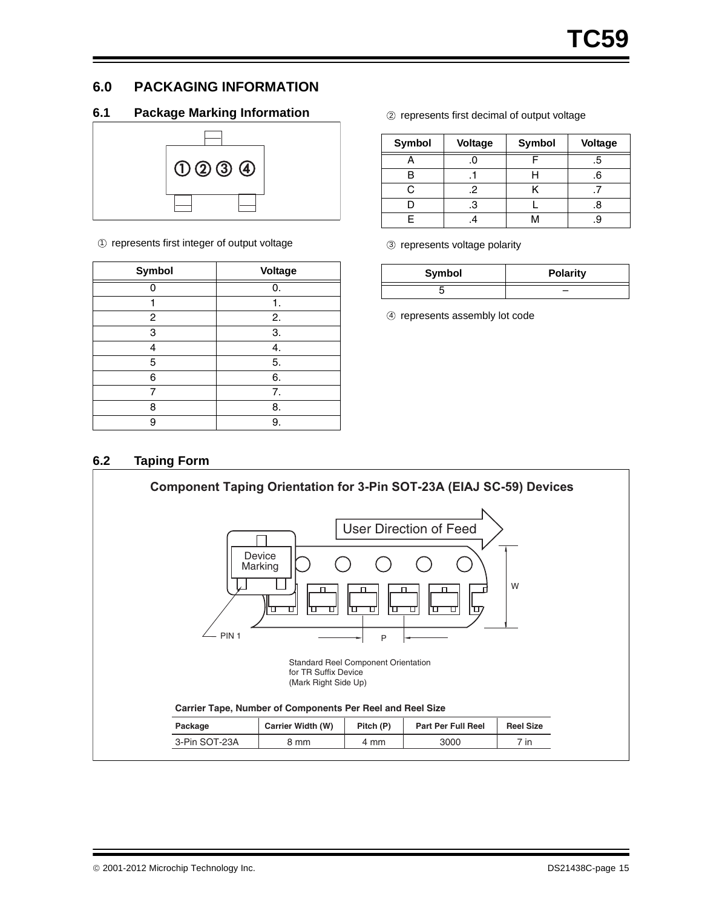### **6.0 PACKAGING INFORMATION**

### **6.1 Package Marking Information**



1 represents first integer of output voltage

| Symbol | Voltage |
|--------|---------|
| ∩      | 0.      |
|        |         |
| 2      | 2.      |
| 3      | 3.      |
|        | 4.      |
| 5      | 5.      |
| 6      | 6.      |
|        | 7.      |
| 8      | 8.      |
| 9      | 9.      |

2 represents first decimal of output voltage

| Symbol | Voltage | Symbol | Voltage |
|--------|---------|--------|---------|
|        |         |        |         |
|        |         |        | .6      |
|        |         |        |         |
|        | د.      |        | 8.      |
|        |         |        |         |

3 represents voltage polarity

| Symbol | <b>Polarity</b> |  |
|--------|-----------------|--|
|        |                 |  |

4 represents assembly lot code

### **6.2 Taping Form**



<sup>© 2001-2012</sup> Microchip Technology Inc. 2002 15 and 2008 2001-2012 15:30 DS21438C-page 15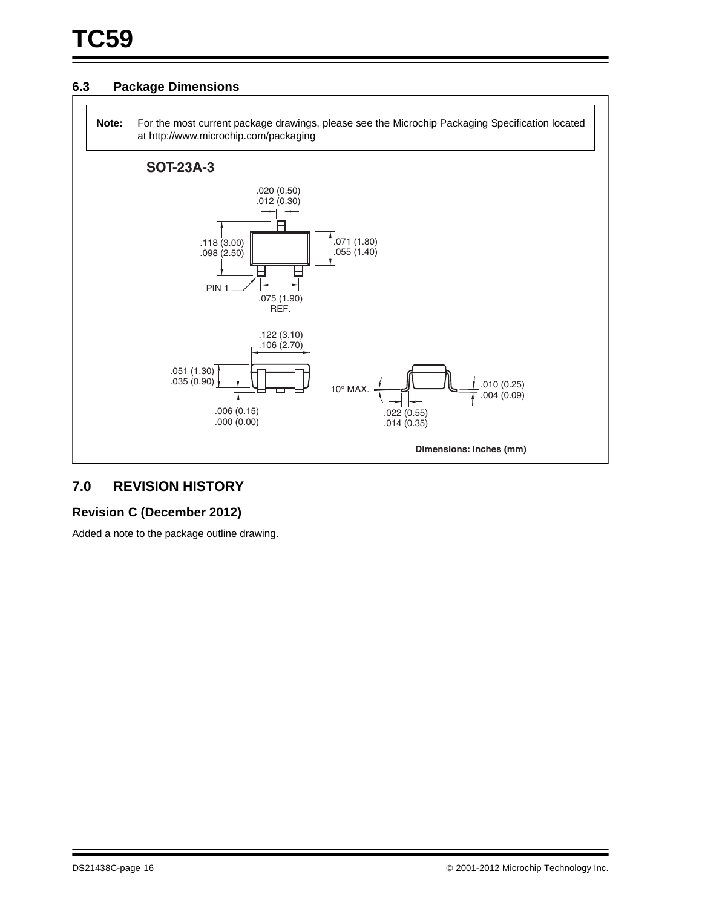### **6.3 Package Dimensions**



### **7.0 REVISION HISTORY**

### **Revision C (December 2012)**

Added a note to the package outline drawing.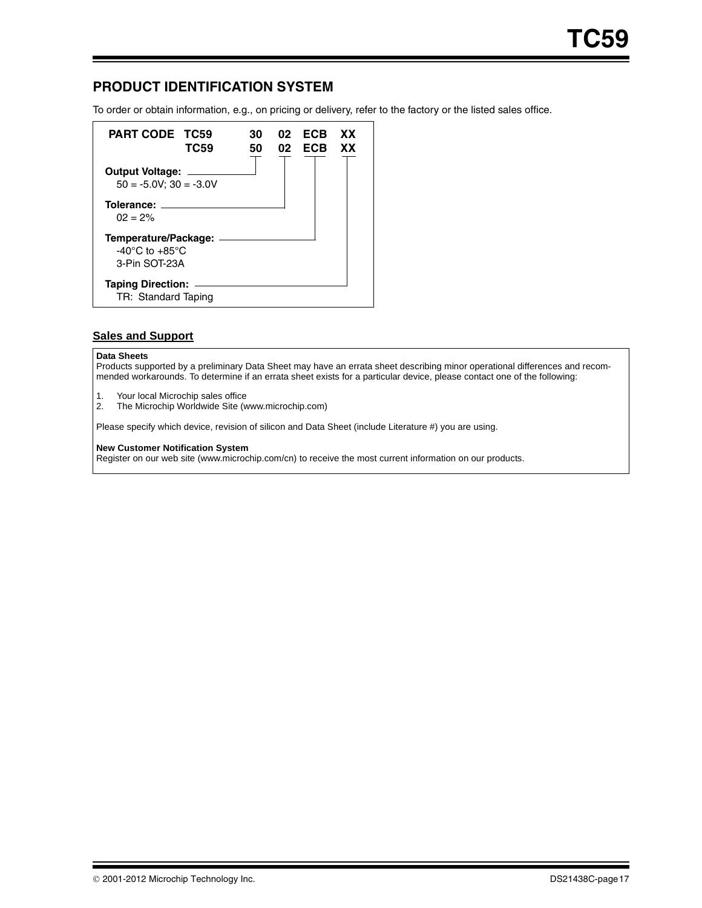### **PRODUCT IDENTIFICATION SYSTEM**

To order or obtain information, e.g., on pricing or delivery, refer to the factory or the listed sales office.



#### **Sales and Support**

#### **Data Sheets**

Products supported by a preliminary Data Sheet may have an errata sheet describing minor operational differences and recommended workarounds. To determine if an errata sheet exists for a particular device, please contact one of the following:

- 1. Your local Microchip sales office
- 2. The Microchip Worldwide Site (www.microchip.com)

Please specify which device, revision of silicon and Data Sheet (include Literature #) you are using.

#### **New Customer Notification System**

Register on our web site (www.microchip.com/cn) to receive the most current information on our products.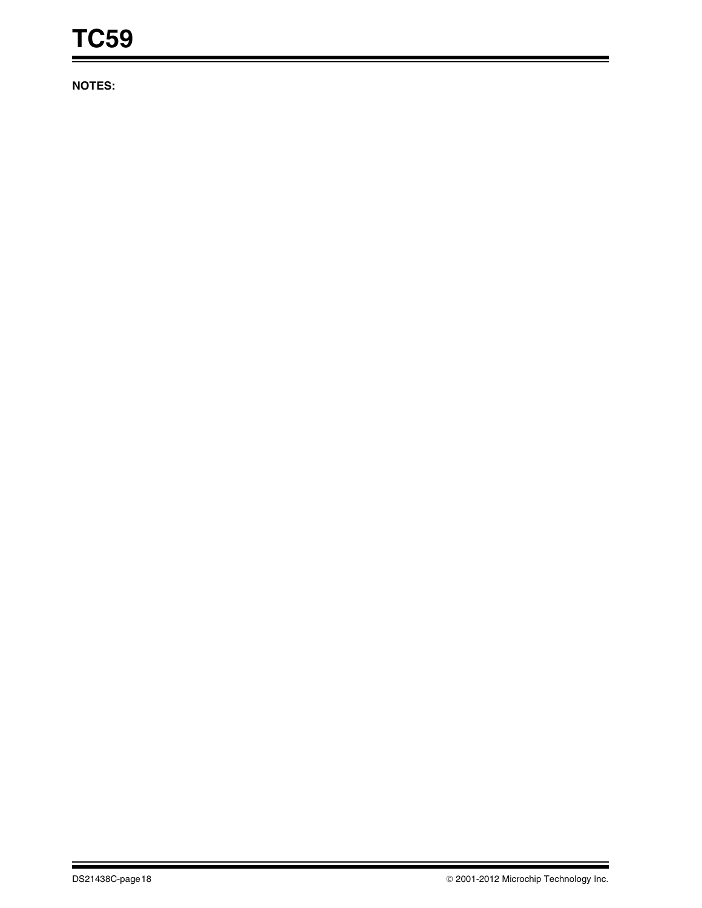# **TC59**

**NOTES:**

۰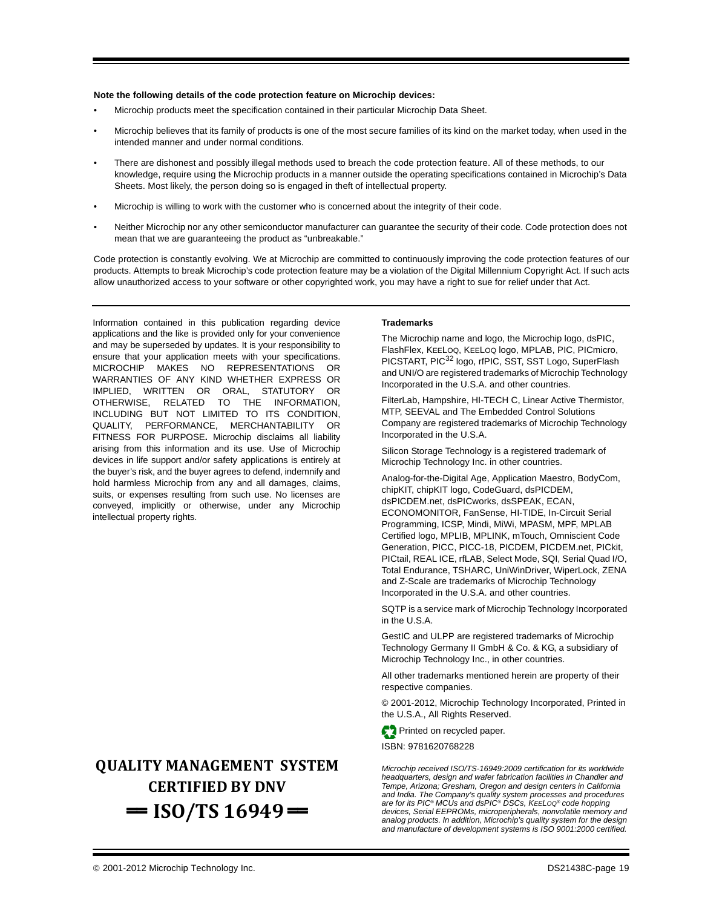#### **Note the following details of the code protection feature on Microchip devices:**

- Microchip products meet the specification contained in their particular Microchip Data Sheet.
- Microchip believes that its family of products is one of the most secure families of its kind on the market today, when used in the intended manner and under normal conditions.
- There are dishonest and possibly illegal methods used to breach the code protection feature. All of these methods, to our knowledge, require using the Microchip products in a manner outside the operating specifications contained in Microchip's Data Sheets. Most likely, the person doing so is engaged in theft of intellectual property.
- Microchip is willing to work with the customer who is concerned about the integrity of their code.
- Neither Microchip nor any other semiconductor manufacturer can guarantee the security of their code. Code protection does not mean that we are guaranteeing the product as "unbreakable."

Code protection is constantly evolving. We at Microchip are committed to continuously improving the code protection features of our products. Attempts to break Microchip's code protection feature may be a violation of the Digital Millennium Copyright Act. If such acts allow unauthorized access to your software or other copyrighted work, you may have a right to sue for relief under that Act.

Information contained in this publication regarding device applications and the like is provided only for your convenience and may be superseded by updates. It is your responsibility to ensure that your application meets with your specifications. MICROCHIP MAKES NO REPRESENTATIONS OR WARRANTIES OF ANY KIND WHETHER EXPRESS OR IMPLIED, WRITTEN OR ORAL, STATUTORY OR OTHERWISE, RELATED TO THE INFORMATION, INCLUDING BUT NOT LIMITED TO ITS CONDITION, QUALITY, PERFORMANCE, MERCHANTABILITY OR FITNESS FOR PURPOSE**.** Microchip disclaims all liability arising from this information and its use. Use of Microchip devices in life support and/or safety applications is entirely at the buyer's risk, and the buyer agrees to defend, indemnify and hold harmless Microchip from any and all damages, claims, suits, or expenses resulting from such use. No licenses are conveyed, implicitly or otherwise, under any Microchip intellectual property rights.

# **QUALITY MANAGEMENT SYSTEM CERTIFIED BY DNV**   $=$  **ISO/TS 16949** $=$

#### **Trademarks**

The Microchip name and logo, the Microchip logo, dsPIC, FlashFlex, KEELOQ, KEELOQ logo, MPLAB, PIC, PICmicro, PICSTART, PIC<sup>32</sup> logo, rfPIC, SST, SST Logo, SuperFlash and UNI/O are registered trademarks of Microchip Technology Incorporated in the U.S.A. and other countries.

FilterLab, Hampshire, HI-TECH C, Linear Active Thermistor, MTP, SEEVAL and The Embedded Control Solutions Company are registered trademarks of Microchip Technology Incorporated in the U.S.A.

Silicon Storage Technology is a registered trademark of Microchip Technology Inc. in other countries.

Analog-for-the-Digital Age, Application Maestro, BodyCom, chipKIT, chipKIT logo, CodeGuard, dsPICDEM, dsPICDEM.net, dsPICworks, dsSPEAK, ECAN, ECONOMONITOR, FanSense, HI-TIDE, In-Circuit Serial Programming, ICSP, Mindi, MiWi, MPASM, MPF, MPLAB Certified logo, MPLIB, MPLINK, mTouch, Omniscient Code Generation, PICC, PICC-18, PICDEM, PICDEM.net, PICkit, PICtail, REAL ICE, rfLAB, Select Mode, SQI, Serial Quad I/O, Total Endurance, TSHARC, UniWinDriver, WiperLock, ZENA and Z-Scale are trademarks of Microchip Technology Incorporated in the U.S.A. and other countries.

SQTP is a service mark of Microchip Technology Incorporated in the U.S.A.

GestIC and ULPP are registered trademarks of Microchip Technology Germany II GmbH & Co. & KG, a subsidiary of Microchip Technology Inc., in other countries.

All other trademarks mentioned herein are property of their respective companies.

© 2001-2012, Microchip Technology Incorporated, Printed in the U.S.A., All Rights Reserved.

Printed on recycled paper.

ISBN: 9781620768228

*Microchip received ISO/TS-16949:2009 certification for its worldwide headquarters, design and wafer fabrication facilities in Chandler and Tempe, Arizona; Gresham, Oregon and design centers in California and India. The Company's quality system processes and procedures are for its PIC® MCUs and dsPIC® DSCs, KEELOQ® code hopping devices, Serial EEPROMs, microperipherals, nonvolatile memory and analog products. In addition, Microchip's quality system for the design and manufacture of development systems is ISO 9001:2000 certified.*